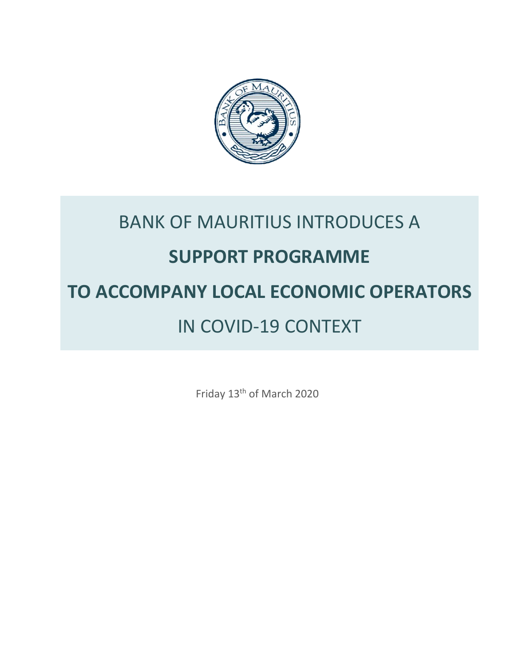

# BANK OF MAURITIUS INTRODUCES A **SUPPORT PROGRAMME TO ACCOMPANY LOCAL ECONOMIC OPERATORS** IN COVID-19 CONTEXT

Friday 13th of March 2020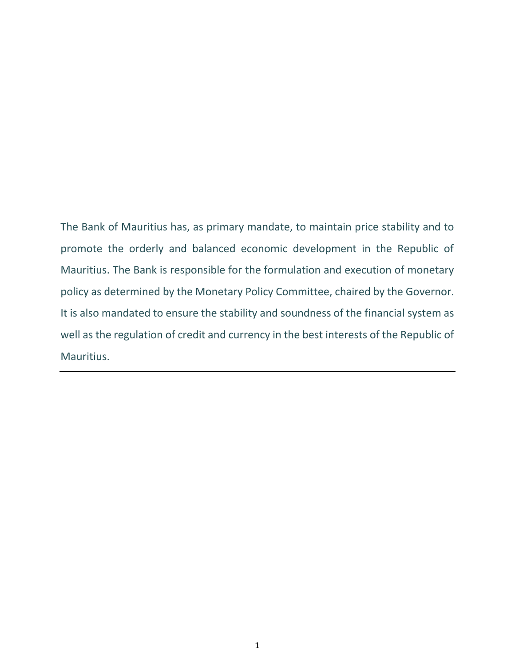The Bank of Mauritius has, as primary mandate, to maintain price stability and to promote the orderly and balanced economic development in the Republic of Mauritius. The Bank is responsible for the formulation and execution of monetary policy as determined by the Monetary Policy Committee, chaired by the Governor. It is also mandated to ensure the stability and soundness of the financial system as well as the regulation of credit and currency in the best interests of the Republic of Mauritius.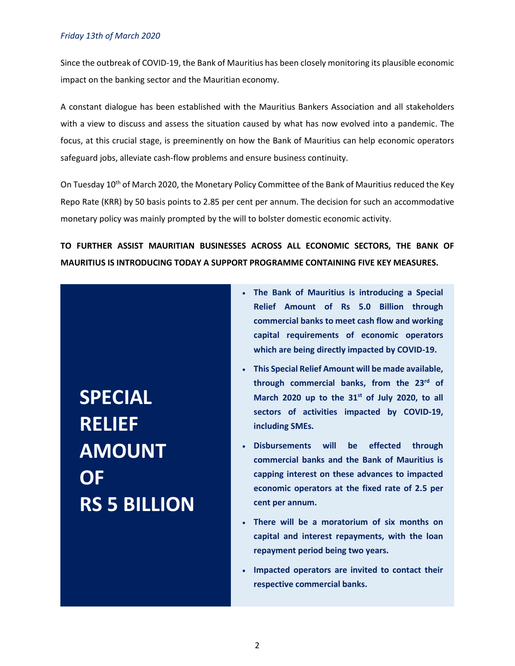Since the outbreak of COVID-19, the Bank of Mauritius has been closely monitoring its plausible economic impact on the banking sector and the Mauritian economy.

A constant dialogue has been established with the Mauritius Bankers Association and all stakeholders with a view to discuss and assess the situation caused by what has now evolved into a pandemic. The focus, at this crucial stage, is preeminently on how the Bank of Mauritius can help economic operators safeguard jobs, alleviate cash-flow problems and ensure business continuity.

On Tuesday 10<sup>th</sup> of March 2020, the Monetary Policy Committee of the Bank of Mauritius reduced the Key Repo Rate (KRR) by 50 basis points to 2.85 per cent per annum. The decision for such an accommodative monetary policy was mainly prompted by the will to bolster domestic economic activity.

**TO FURTHER ASSIST MAURITIAN BUSINESSES ACROSS ALL ECONOMIC SECTORS, THE BANK OF MAURITIUS IS INTRODUCING TODAY A SUPPORT PROGRAMME CONTAINING FIVE KEY MEASURES.**

**SPECIAL RELIEF AMOUNT OF RS 5 BILLION**

- **The Bank of Mauritius is introducing a Special Relief Amount of Rs 5.0 Billion through commercial banks to meet cash flow and working capital requirements of economic operators which are being directly impacted by COVID-19.**
- **This Special Relief Amount will be made available, through commercial banks, from the 23rd of March 2020 up to the 31st of July 2020, to all sectors of activities impacted by COVID-19, including SMEs.**
- **Disbursements will be effected through commercial banks and the Bank of Mauritius is capping interest on these advances to impacted economic operators at the fixed rate of 2.5 per cent per annum.**
- **There will be a moratorium of six months on capital and interest repayments, with the loan repayment period being two years.**
- **Impacted operators are invited to contact their respective commercial banks.**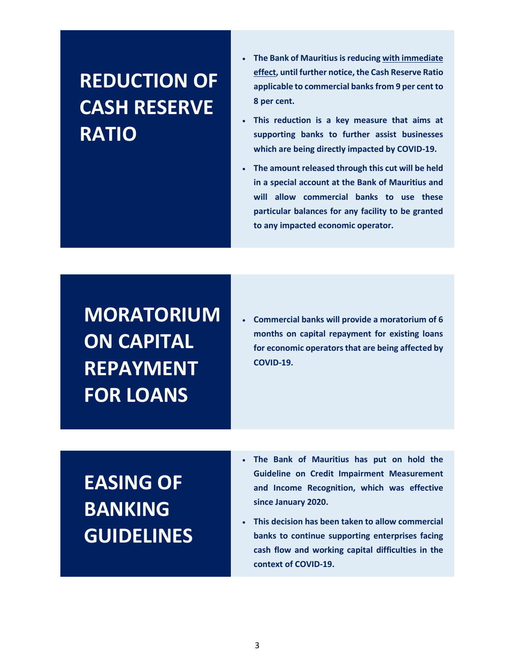## **REDUCTION OF CASH RESERVE RATIO**

- **The Bank of Mauritius is reducing with immediate effect, until further notice, the Cash Reserve Ratio applicable to commercial banks from 9 per cent to 8 per cent.**
- **This reduction is a key measure that aims at supporting banks to further assist businesses which are being directly impacted by COVID-19.**
- **The amount released through this cut will be held in a special account at the Bank of Mauritius and will allow commercial banks to use these particular balances for any facility to be granted to any impacted economic operator.**

**MORATORIUM ON CAPITAL REPAYMENT FOR LOANS**

 **Commercial banks will provide a moratorium of 6 months on capital repayment for existing loans for economic operators that are being affected by COVID-19.**

# **EASING OF BANKING GUIDELINES**

- **The Bank of Mauritius has put on hold the Guideline on Credit Impairment Measurement and Income Recognition, which was effective since January 2020.**
- **This decision has been taken to allow commercial banks to continue supporting enterprises facing cash flow and working capital difficulties in the context of COVID-19.**